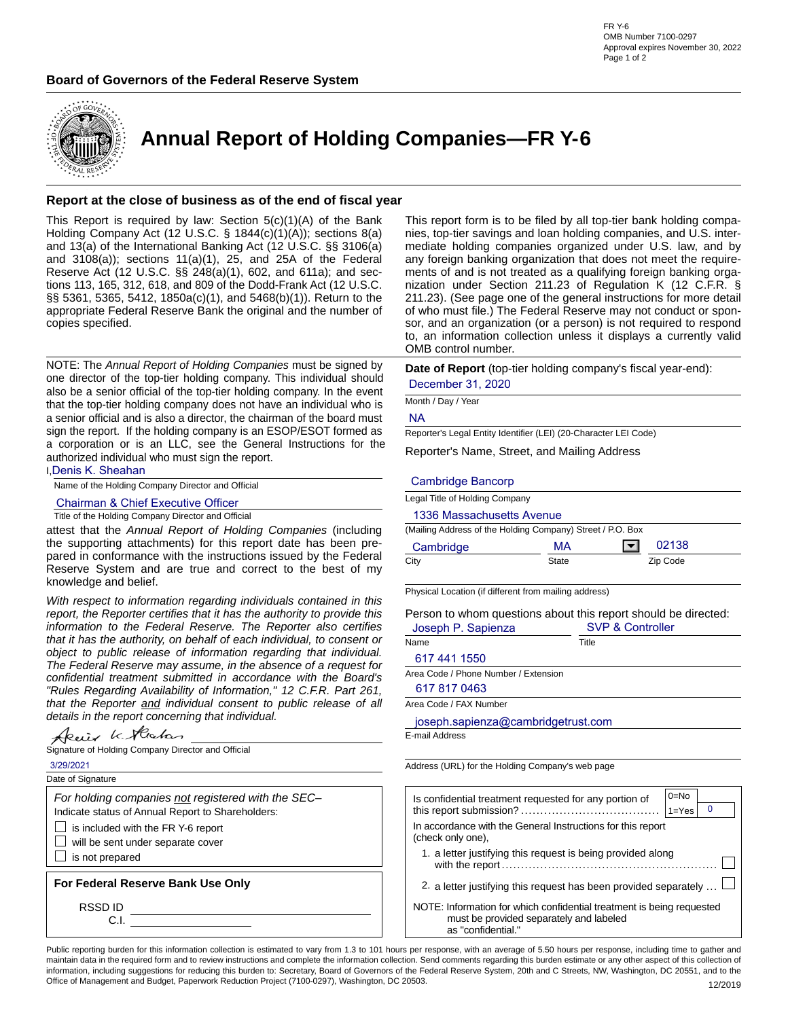



**Annual Report of Holding Companies—FR Y-6**

## **Report at the close of business as of the end of fiscal year**

This Report is required by law: Section  $5(c)(1)(A)$  of the Bank Holding Company Act (12 U.S.C. § 1844(c)(1)(A)); sections 8(a) and 13(a) of the International Banking Act (12 U.S.C. §§ 3106(a) and 3108(a)); sections 11(a)(1), 25, and 25A of the Federal Reserve Act (12 U.S.C. §§ 248(a)(1), 602, and 611a); and sections 113, 165, 312, 618, and 809 of the Dodd-Frank Act (12 U.S.C. §§ 5361, 5365, 5412, 1850a(c)(1), and 5468(b)(1)). Return to the appropriate Federal Reserve Bank the original and the number of copies specified.

NOTE: The *Annual Report of Holding Companies* must be signed by one director of the top-tier holding company. This individual should also be a senior official of the top-tier holding company. In the event that the top-tier holding company does not have an individual who is a senior official and is also a director, the chairman of the board must sign the report. If the holding company is an ESOP/ESOT formed as a corporation or is an LLC, see the General Instructions for the authorized individual who must sign the report.

I,Denis K. Sheahan

Name of the Holding Company Director and Official

Chairman & Chief Executive Officer

Title of the Holding Company Director and Official

attest that the *Annual Report of Holding Companies* (including the supporting attachments) for this report date has been prepared in conformance with the instructions issued by the Federal Reserve System and are true and correct to the best of my knowledge and belief.

*With respect to information regarding individuals contained in this report, the Reporter certifies that it has the authority to provide this information to the Federal Reserve. The Reporter also certifies that it has the authority, on behalf of each individual, to consent or object to public release of information regarding that individual. The Federal Reserve may assume, in the absence of a request for confidential treatment submitted in accordance with the Board's "Rules Regarding Availability of Information," 12 C.F.R. Part 261, that the Reporter and individual consent to public release of all details in the report concerning that individual.*

Deix K. Hecker

|                   | Signature of Holding Company Director and Official |
|-------------------|----------------------------------------------------|
| 3/29/2021         |                                                    |
| Date of Signature |                                                    |

*For holding companies not registered with the SEC–*

Indicate status of Annual Report to Shareholders:

 $\Box$  is included with the FR Y-6 report

 $\Box$  will be sent under separate cover

 $\Box$  is not prepared

**For Federal Reserve Bank Use Only**

RSSD ID

C.I.

This report form is to be filed by all top-tier bank holding companies, top-tier savings and loan holding companies, and U.S. intermediate holding companies organized under U.S. law, and by any foreign banking organization that does not meet the requirements of and is not treated as a qualifying foreign banking organization under Section 211.23 of Regulation K (12 C.F.R. § 211.23). (See page one of the general instructions for more detail of who must file.) The Federal Reserve may not conduct or sponsor, and an organization (or a person) is not required to respond to, an information collection unless it displays a currently valid OMB control number.

**Date of Report** (top-tier holding company's fiscal year-end): December 31, 2020

Month / Day / Year

NA

Reporter's Legal Entity Identifier (LEI) (20-Character LEI Code)

Reporter's Name, Street, and Mailing Address

### Cambridge Bancorp

| Legal Title of Holding Company                             |       |                                                                                               |
|------------------------------------------------------------|-------|-----------------------------------------------------------------------------------------------|
| 1336 Massachusetts Avenue                                  |       |                                                                                               |
| (Mailing Address of the Holding Company) Street / P.O. Box |       |                                                                                               |
| Cambridge                                                  | МA    | 02138                                                                                         |
| City                                                       | State | Zip Code                                                                                      |
| Physical Location (if different from mailing address)      |       |                                                                                               |
| Joseph P. Sapienza                                         |       | Person to whom questions about this report should be directed:<br><b>SVP &amp; Controller</b> |
| Name                                                       | Title |                                                                                               |
| 617 441 1550                                               |       |                                                                                               |
| Area Code / Phone Number / Extension                       |       |                                                                                               |
| 617 817 0463                                               |       |                                                                                               |
| Area Code / FAX Number                                     |       |                                                                                               |
| joseph.sapienza@cambridgetrust.com                         |       |                                                                                               |
| E-mail Address                                             |       |                                                                                               |
|                                                            |       |                                                                                               |
| Address (URL) for the Holding Company's web page           |       |                                                                                               |
| Is confidential treatment requested for any portion of     |       | $0=No$<br>0<br>$1 = Yes$                                                                      |
|                                                            |       |                                                                                               |

| is connuential treatment requested for any portion of<br>0<br>$1 = Yes$                                          |  |  |  |  |  |
|------------------------------------------------------------------------------------------------------------------|--|--|--|--|--|
| In accordance with the General Instructions for this report<br>(check only one).                                 |  |  |  |  |  |
| 1. a letter justifying this request is being provided along                                                      |  |  |  |  |  |
| 2. a letter justifying this request has been provided separately $\dots$                                         |  |  |  |  |  |
| NOTE: Information for which confidential treatment is being requested<br>must be provided separately and labeled |  |  |  |  |  |

Public reporting burden for this information collection is estimated to vary from 1.3 to 101 hours per response, with an average of 5.50 hours per response, including time to gather and maintain data in the required form and to review instructions and complete the information collection. Send comments regarding this burden estimate or any other aspect of this collection of information, including suggestions for reducing this burden to: Secretary, Board of Governors of the Federal Reserve System, 20th and C Streets, NW, Washington, DC 20551, and to the Office of Management and Budget, Paperwork Reduction Project (7100-0297), Washington, DC 20503. 12/2019

as "confidential."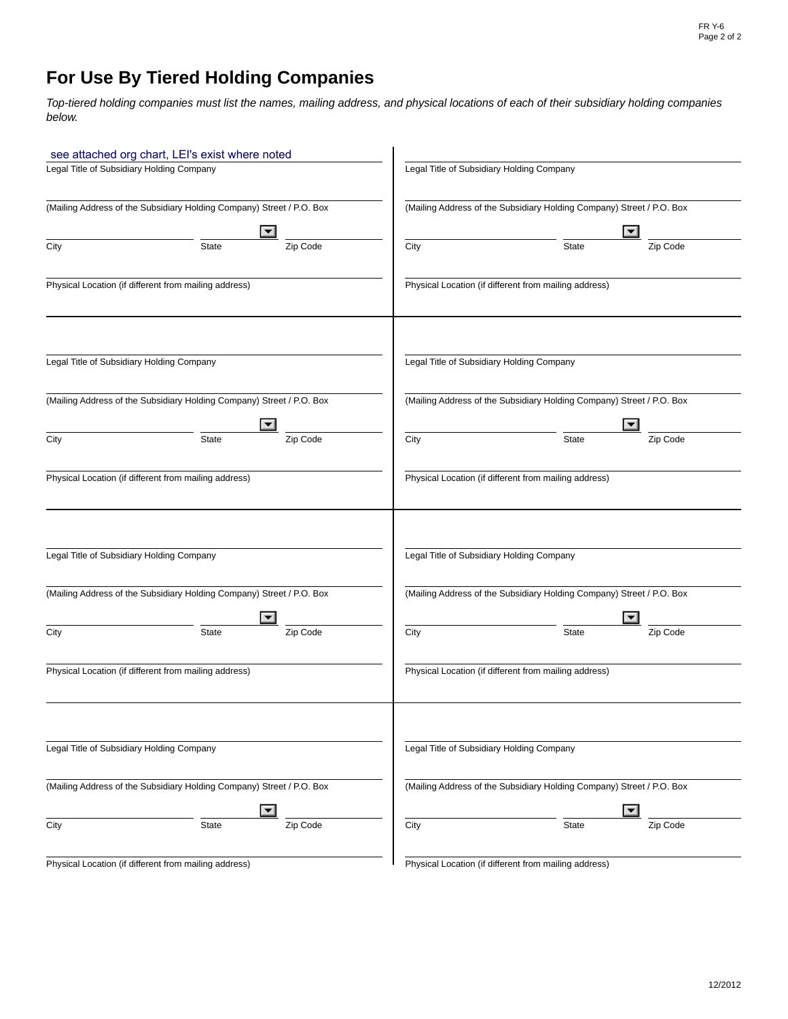## **For Use By Tiered Holding Companies**

*Top-tiered holding companies must list the names, mailing address, and physical locations of each of their subsidiary holding companies below.*

|                                           | see attached org chart, LEI's exist where noted                       |          |                                           |                                                                       |                      |
|-------------------------------------------|-----------------------------------------------------------------------|----------|-------------------------------------------|-----------------------------------------------------------------------|----------------------|
| Legal Title of Subsidiary Holding Company |                                                                       |          | Legal Title of Subsidiary Holding Company |                                                                       |                      |
|                                           | (Mailing Address of the Subsidiary Holding Company) Street / P.O. Box |          |                                           | (Mailing Address of the Subsidiary Holding Company) Street / P.O. Box |                      |
|                                           | $\blacktriangledown$                                                  |          |                                           |                                                                       | $\blacktriangledown$ |
| City                                      | State                                                                 | Zip Code | City                                      | <b>State</b>                                                          | Zip Code             |
|                                           | Physical Location (if different from mailing address)                 |          |                                           | Physical Location (if different from mailing address)                 |                      |
| Legal Title of Subsidiary Holding Company |                                                                       |          | Legal Title of Subsidiary Holding Company |                                                                       |                      |
|                                           | (Mailing Address of the Subsidiary Holding Company) Street / P.O. Box |          |                                           | (Mailing Address of the Subsidiary Holding Company) Street / P.O. Box |                      |
|                                           | $\blacktriangledown$                                                  |          |                                           |                                                                       | $\blacktriangledown$ |
| City                                      | <b>State</b>                                                          | Zip Code | City                                      | <b>State</b>                                                          | Zip Code             |
|                                           | Physical Location (if different from mailing address)                 |          |                                           | Physical Location (if different from mailing address)                 |                      |
| Legal Title of Subsidiary Holding Company |                                                                       |          | Legal Title of Subsidiary Holding Company |                                                                       |                      |
|                                           | (Mailing Address of the Subsidiary Holding Company) Street / P.O. Box |          |                                           | (Mailing Address of the Subsidiary Holding Company) Street / P.O. Box |                      |
| City                                      | State                                                                 | Zip Code | City                                      | <b>State</b>                                                          | Zip Code             |
|                                           | Physical Location (if different from mailing address)                 |          |                                           | Physical Location (if different from mailing address)                 |                      |
| Legal Title of Subsidiary Holding Company |                                                                       |          | Legal Title of Subsidiary Holding Company |                                                                       |                      |
|                                           | (Mailing Address of the Subsidiary Holding Company) Street / P.O. Box |          |                                           | (Mailing Address of the Subsidiary Holding Company) Street / P.O. Box |                      |
|                                           | $\blacktriangledown$                                                  |          |                                           |                                                                       | $\blacktriangledown$ |
| City                                      | State                                                                 | Zip Code | City                                      | <b>State</b>                                                          | Zip Code             |
|                                           | Physical Location (if different from mailing address)                 |          |                                           | Physical Location (if different from mailing address)                 |                      |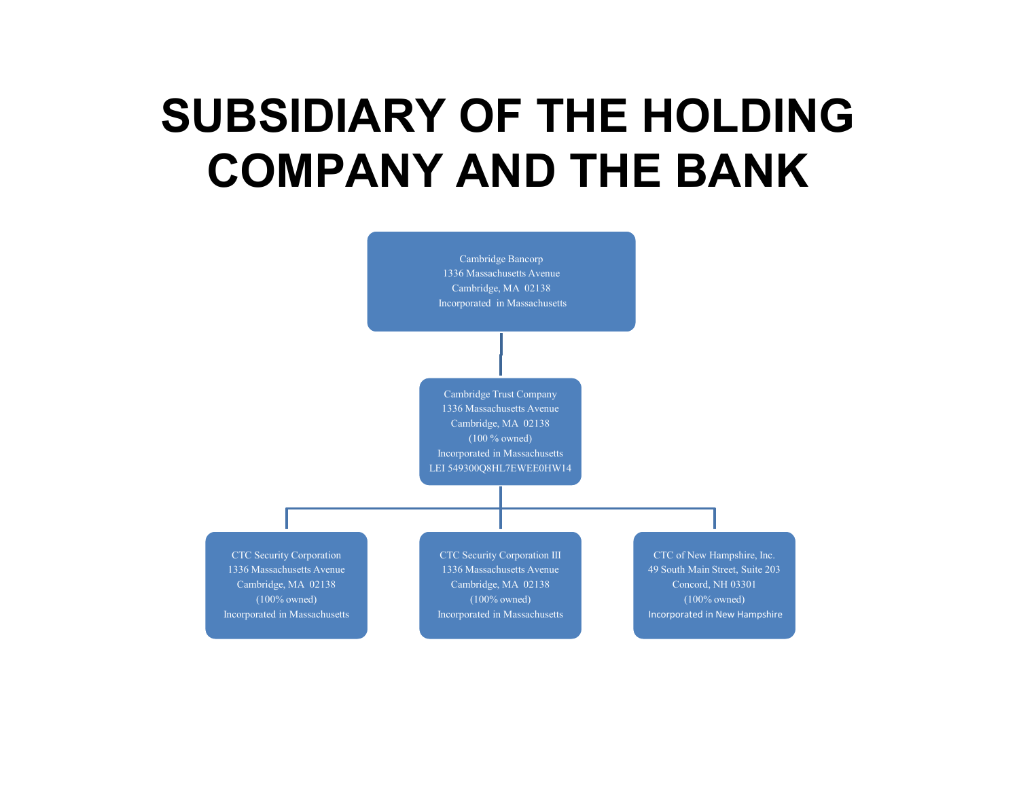# **SUBSIDIARY OF THE HOLDING COMPANY AND THE BANK**

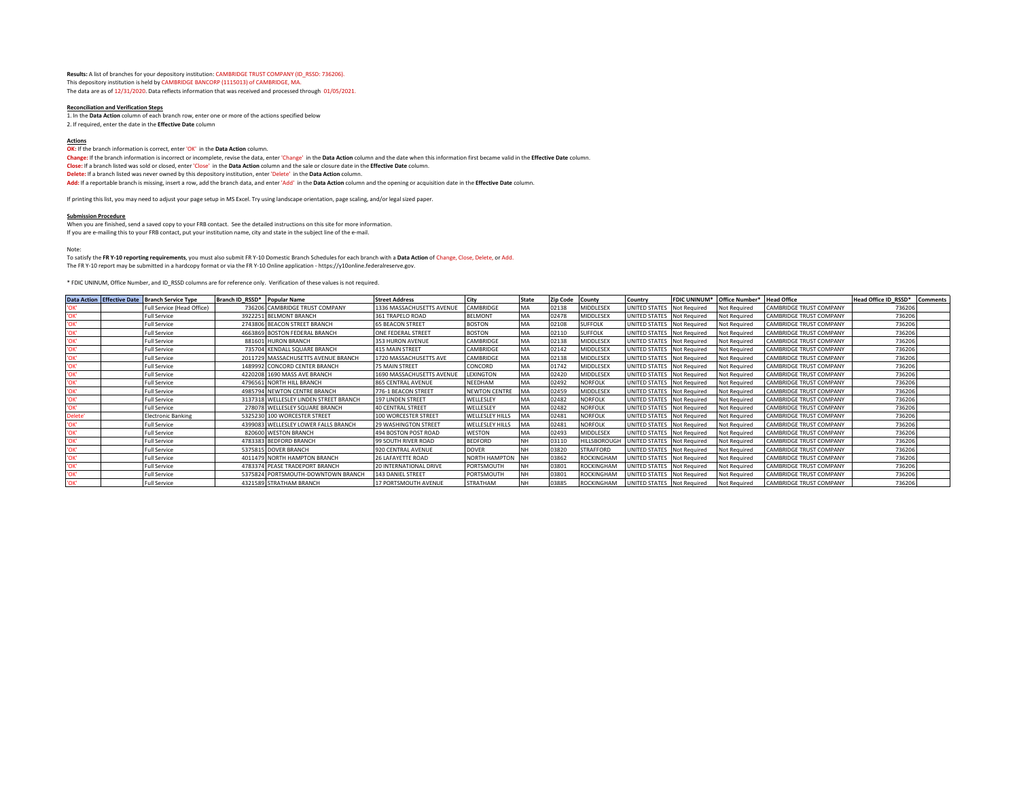**Results:** A list of branches for your depository institution: CAMBRIDGE TRUST COMPANY (ID\_RSSD: 736206). This depository institution is held by CAMBRIDGE BANCORP (1115013) of CAMBRIDGE, MA. The data are as of 12/31/2020. Data reflects information that was received and processed through 01/05/2021.

#### **Reconciliation and Verification Steps**

1. In the **Data Action** column of each branch row, enter one or more of the actions specified below 2. If required, enter the date in the **Effective Date** column

#### **Actions**

**OK:** If the branch information is correct, enter 'OK' in the Data Action column.

**Change:** If the branch information is incorrect or incomplete, revise the data, enter 'Change' in the **Data Action** column and the date when this information first became valid in the **Effective Date** column. **Close:** If a branch listed was sold or closed, enter 'Close' in the **Data Action** column and the sale or closure date in the **Effective Date** column. **Delete:** If a branch listed was never owned by this depository institution, enter 'Delete' in the **Data Action** column.

**Add:** If a reportable branch is missing, insert a row, add the branch data, and enter 'Add' in the **Data Action** column and the opening or acquisition date in the **Effective Date** column.

If printing this list, you may need to adjust your page setup in MS Excel. Try using landscape orientation, page scaling, and/or legal sized paper.

#### **Submission Procedure**

When you are finished, send a saved copy to your FRB contact. See the detailed instructions on this site for more information. If you are e-mailing this to your FRB contact, put your institution name, city and state in the subject line of the e-mail.

#### Note:

To satisfy the **FR Y-10 reporting requirements**, you must also submit FR Y-10 Domestic Branch Schedules for each branch with a **Data Action** of Change, Close, Delete, or Add.

The FR Y-10 report may be submitted in a hardcopy format or via the FR Y-10 Online application - https://y10online.federalreserve.gov.

\* FDIC UNINUM, Office Number, and ID\_RSSD columns are for reference only. Verification of these values is not required.

|               | Data Action Effective Date Branch Service Type | Branch ID RSSD* Popular Name |                                        | <b>Street Address</b>     | City                   |    | <b>Zip Code</b> | County            | Country                    |                     | FDIC UNINUM* Office Number* Head Office |                                | Head Office ID RSSD* | <b>Comments</b> |
|---------------|------------------------------------------------|------------------------------|----------------------------------------|---------------------------|------------------------|----|-----------------|-------------------|----------------------------|---------------------|-----------------------------------------|--------------------------------|----------------------|-----------------|
|               | Full Service (Head Office)                     |                              | 736206 CAMBRIDGE TRUST COMPANY         | 1336 MASSACHUSETTS AVENUE | CAMBRIDGE              |    | 02138           | MIDDLESEX         | <b>JNITED STATES</b>       | <b>Not Required</b> | Not Required                            | <b>CAMBRIDGE TRUST COMPANY</b> | 736206               |                 |
| אסי'          | <b>Full Service</b>                            |                              | 3922251 BELMONT BRANCH                 | 361 TRAPELO ROAD          | <b>BELMONT</b>         |    | 02478           | MIDDLESEX         | UNITED STATES Not Required |                     | Not Required                            | <b>CAMBRIDGE TRUST COMPANY</b> | 736206               |                 |
|               | <b>Full Service</b>                            |                              | 2743806 BEACON STREET BRANCH           | <b>65 BEACON STREET</b>   | <b>BOSTON</b>          |    | 02108           | <b>SUFFOLK</b>    | UNITED STATES Not Required |                     | <b>Not Required</b>                     | <b>CAMBRIDGE TRUST COMPANY</b> | 736206               |                 |
|               | <b>Full Service</b>                            |                              | 4663869 BOSTON FEDERAL BRANCH          | ONE FEDERAL STREET        | <b>BOSTON</b>          | MA | 02110           | <b>SUFFOLK</b>    | UNITED STATES Not Required |                     | <b>Not Required</b>                     | <b>CAMBRIDGE TRUST COMPANY</b> | 736206               |                 |
|               | <b>Full Service</b>                            |                              | 881601 HURON BRANCH                    | 353 HURON AVENUE          | CAMBRIDGE              |    | 02138           | MIDDLESEX         | JNITED STATES Not Required |                     | Not Required                            | <b>CAMBRIDGE TRUST COMPANY</b> | 736206               |                 |
|               | <b>Full Service</b>                            |                              | 735704 KENDALL SQUARE BRANCH           | <b>415 MAIN STREET</b>    | CAMBRIDGE              | MA | 02142           | MIDDLESEX         | UNITED STATES Not Required |                     | Not Required                            | <b>CAMBRIDGE TRUST COMPANY</b> | 736206               |                 |
| 'OK'          | <b>Full Service</b>                            |                              | 2011729 MASSACHUSETTS AVENUE BRANCH    | 1720 MASSACHUSETTS AVE    | CAMBRIDGE              |    | 02138           | MIDDLESEX         | UNITED STATES Not Required |                     | <b>Not Required</b>                     | <b>CAMBRIDGE TRUST COMPANY</b> | 736206               |                 |
|               | <b>Full Service</b>                            |                              | 1489992 CONCORD CENTER BRANCH          | 75 MAIN STREET            | CONCORD                |    | 01742           | MIDDLESEX         | UNITED STATES Not Required |                     | Not Required                            | <b>CAMBRIDGE TRUST COMPANY</b> | 736206               |                 |
| 'OK'          | <b>Full Service</b>                            |                              | 4220208 1690 MASS AVE BRANCH           | 1690 MASSACHUSETTS AVENUE | LEXINGTON              |    | 02420           | MIDDLESEX         | JNITED STATES Not Required |                     | Not Required                            | <b>CAMBRIDGE TRUST COMPANY</b> | 736206               |                 |
|               | <b>Full Service</b>                            |                              | 4796561 NORTH HILL BRANCH              | 865 CENTRAL AVENUE        | NEEDHAM                |    | 02492           | <b>NORFOLK</b>    | UNITED STATES Not Required |                     | Not Required                            | <b>CAMBRIDGE TRUST COMPANY</b> | 736206               |                 |
| 'OK'          | <b>Full Service</b>                            |                              | 4985794 NEWTON CENTRE BRANCH           | 776-1 BEACON STREET       | <b>NEWTON CENTRE</b>   |    | 02459           | MIDDLESEX         | UNITED STATES Not Required |                     | Not Required                            | <b>CAMBRIDGE TRUST COMPANY</b> | 736206               |                 |
| אסי'          | <b>Full Service</b>                            |                              | 3137318 WELLESLEY LINDEN STREET BRANCH | 197 LINDEN STREET         | WELLESLEY              |    | 02482           | <b>NORFOLK</b>    | UNITED STATES Not Required |                     | <b>Not Required</b>                     | <b>CAMBRIDGE TRUST COMPANY</b> | 736206               |                 |
|               | <b>Full Service</b>                            |                              | 278078 WELLESLEY SQUARE BRANCH         | <b>40 CENTRAL STREET</b>  | WELLESLEY              |    | 02482           | <b>NORFOLK</b>    | UNITED STATES Not Required |                     | Not Required                            | <b>CAMBRIDGE TRUST COMPANY</b> | 736206               |                 |
| <b>Delete</b> | <b>Electronic Banking</b>                      |                              | 5325230 100 WORCESTER STREET           | 100 WORCESTER STREET      | WELLESLEY HILLS        |    | 02481           | <b>NORFOLK</b>    | UNITED STATES Not Required |                     | Not Required                            | <b>CAMBRIDGE TRUST COMPANY</b> | 736206               |                 |
| 'OK'          | <b>Full Service</b>                            |                              | 4399083 WELLESLEY LOWER FALLS BRANCH   | 29 WASHINGTON STREET      | <b>WELLESLEY HILLS</b> |    | 02481           | <b>NORFOLK</b>    | UNITED STATES Not Required |                     | Not Required                            | <b>CAMBRIDGE TRUST COMPANY</b> | 736206               |                 |
|               | <b>Full Service</b>                            |                              | 820600 WESTON BRANCH                   | 494 BOSTON POST ROAD      | WESTON                 |    | 02493           | MIDDLESEX         | JNITED STATES Not Required |                     | <b>Not Required</b>                     | <b>CAMBRIDGE TRUST COMPANY</b> | 736206               |                 |
| 'OK'          | <b>Full Service</b>                            |                              | 4783383 BEDFORD BRANCH                 | 99 SOUTH RIVER ROAD       | <b>BEDFORD</b>         |    | 03110           | HILLSBOROUGH      | UNITED STATES Not Required |                     | Not Required                            | CAMBRIDGE TRUST COMPANY        | 736206               |                 |
|               | <b>Full Service</b>                            |                              | 5375815 DOVER BRANCH                   | 920 CENTRAL AVENUE        | <b>DOVER</b>           |    | 03820           | <b>STRAFFORD</b>  | JNITED STATES Not Required |                     | Not Required                            | <b>CAMBRIDGE TRUST COMPANY</b> | 736206               |                 |
|               | <b>Full Service</b>                            |                              | 4011479 NORTH HAMPTON BRANCH           | 26 LAFAYETTE ROAD         | NORTH HAMPTON NH       |    | 03862           | <b>ROCKINGHAM</b> | JNITED STATES Not Required |                     | <b>Not Required</b>                     | <b>CAMBRIDGE TRUST COMPANY</b> | 736206               |                 |
|               | <b>Full Service</b>                            |                              | 4783374 PEASE TRADEPORT BRANCH         | 20 INTERNATIONAL DRIVE    | PORTSMOUTH             |    | 0380            | <b>ROCKINGHAM</b> | UNITED STATES Not Required |                     | Not Required                            | <b>CAMBRIDGE TRUST COMPANY</b> | 736206               |                 |
|               | <b>Full Service</b>                            |                              | 5375824 PORTSMOUTH-DOWNTOWN BRANCH     | 143 DANIEL STREET         | PORTSMOUTH             |    | 03801           | <b>ROCKINGHAM</b> | UNITED STATES Not Required |                     | Not Required                            | <b>CAMBRIDGE TRUST COMPANY</b> | 736206               |                 |
| 'OK'          | <b>Full Service</b>                            |                              | 4321589 STRATHAM BRANCH                | 17 PORTSMOUTH AVENUE      | STRATHAM               |    | 03885           | ROCKINGHAM        | UNITED STATES Not Required |                     | Not Required                            | <b>CAMBRIDGE TRUST COMPANY</b> | 736206               |                 |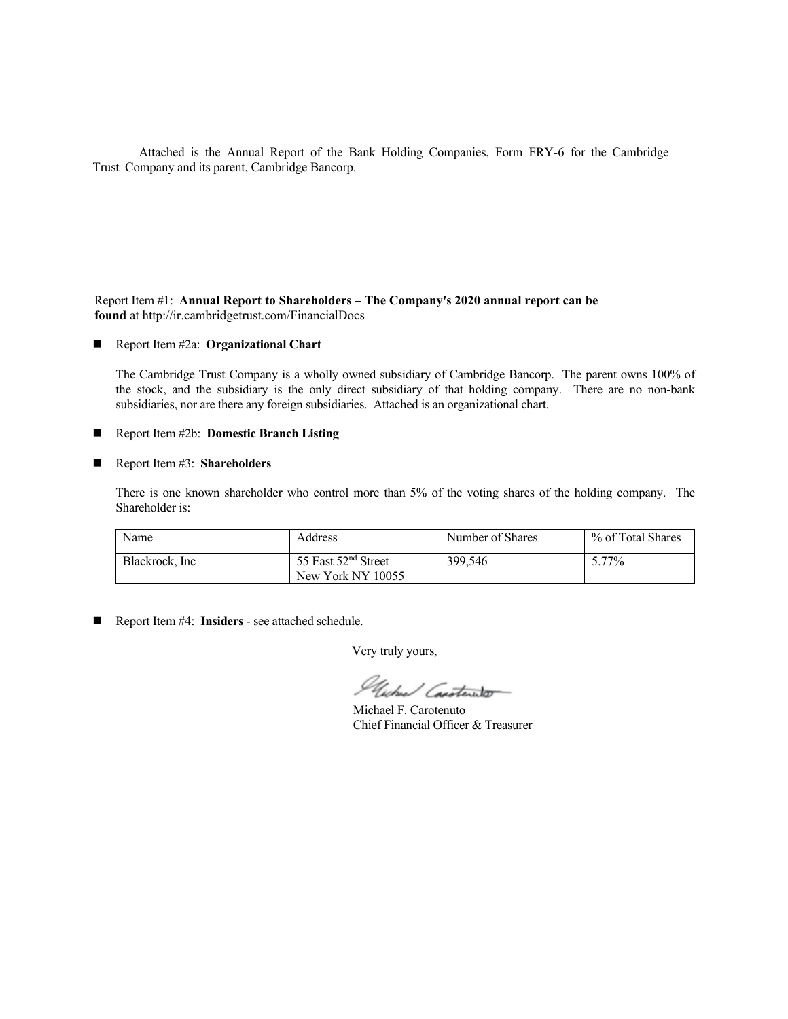Attached is the Annual Report of the Bank Holding Companies, Form FRY-6 for the Cambridge Trust Company and its parent, Cambridge Bancorp.

## Report Item #1: **Annual Report to Shareholders – The Company's 2020 annual report can be found** at http://ir.cambridgetrust.com/FinancialDocs

## Report Item #2a: **Organizational Chart**

The Cambridge Trust Company is a wholly owned subsidiary of Cambridge Bancorp. The parent owns 100% of the stock, and the subsidiary is the only direct subsidiary of that holding company. There are no non-bank subsidiaries, nor are there any foreign subsidiaries. Attached is an organizational chart.

## ■ Report Item #2b: **Domestic Branch Listing**

## Report Item #3: **Shareholders**

There is one known shareholder who control more than 5% of the voting shares of the holding company. The Shareholder is:

| Name            | Address                         | Number of Shares | % of Total Shares |
|-----------------|---------------------------------|------------------|-------------------|
| Blackrock, Inc. | 55 East 52 <sup>nd</sup> Street | 399,546          | 5.77%             |
|                 | New York NY 10055               |                  |                   |

Report Item #4: **Insiders** - see attached schedule.

Very truly yours,

Glicher Canateneto

Michael F. Carotenuto Chief Financial Officer & Treasurer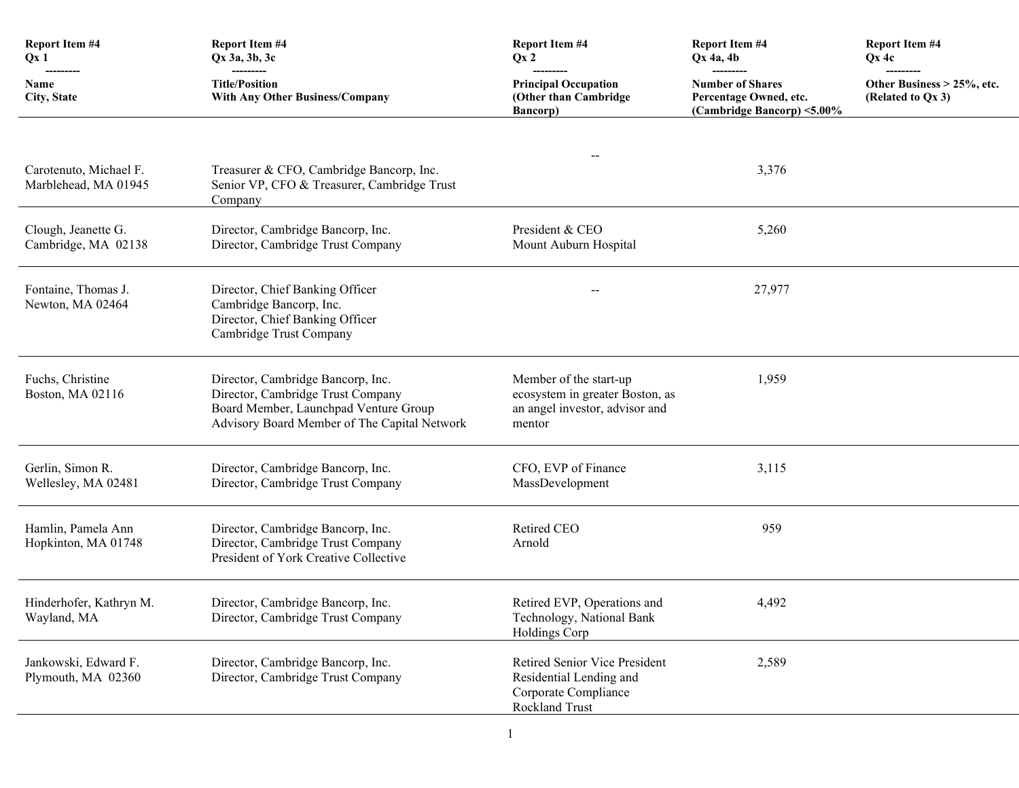| <b>Report Item #4</b><br>Qx1                   | <b>Report Item #4</b><br>Qx 3a, 3b, 3c                                                                                                                          | <b>Report Item #4</b><br>Qx2                                                                          | <b>Report Item #4</b><br>$Qx$ 4a, 4b                                            | <b>Report Item #4</b><br>$Qx$ 4c                |
|------------------------------------------------|-----------------------------------------------------------------------------------------------------------------------------------------------------------------|-------------------------------------------------------------------------------------------------------|---------------------------------------------------------------------------------|-------------------------------------------------|
| <b>Name</b><br>City, State                     | ----------<br><b>Title/Position</b><br><b>With Any Other Business/Company</b>                                                                                   | <b>Principal Occupation</b><br>(Other than Cambridge<br><b>Bancorp</b> )                              | <b>Number of Shares</b><br>Percentage Owned, etc.<br>(Cambridge Bancorp) <5.00% | Other Business > 25%, etc.<br>(Related to Qx 3) |
| Carotenuto, Michael F.<br>Marblehead, MA 01945 | Treasurer & CFO, Cambridge Bancorp, Inc.<br>Senior VP, CFO & Treasurer, Cambridge Trust<br>Company                                                              |                                                                                                       | 3,376                                                                           |                                                 |
| Clough, Jeanette G.<br>Cambridge, MA 02138     | Director, Cambridge Bancorp, Inc.<br>Director, Cambridge Trust Company                                                                                          | President & CEO<br>Mount Auburn Hospital                                                              | 5,260                                                                           |                                                 |
| Fontaine, Thomas J.<br>Newton, MA 02464        | Director, Chief Banking Officer<br>Cambridge Bancorp, Inc.<br>Director, Chief Banking Officer<br>Cambridge Trust Company                                        |                                                                                                       | 27,977                                                                          |                                                 |
| Fuchs, Christine<br>Boston, MA 02116           | Director, Cambridge Bancorp, Inc.<br>Director, Cambridge Trust Company<br>Board Member, Launchpad Venture Group<br>Advisory Board Member of The Capital Network | Member of the start-up<br>ecosystem in greater Boston, as<br>an angel investor, advisor and<br>mentor | 1,959                                                                           |                                                 |
| Gerlin, Simon R.<br>Wellesley, MA 02481        | Director, Cambridge Bancorp, Inc.<br>Director, Cambridge Trust Company                                                                                          | CFO, EVP of Finance<br>MassDevelopment                                                                | 3,115                                                                           |                                                 |
| Hamlin, Pamela Ann<br>Hopkinton, MA 01748      | Director, Cambridge Bancorp, Inc.<br>Director, Cambridge Trust Company<br>President of York Creative Collective                                                 | Retired CEO<br>Arnold                                                                                 | 959                                                                             |                                                 |
| Hinderhofer, Kathryn M.<br>Wayland, MA         | Director, Cambridge Bancorp, Inc.<br>Director, Cambridge Trust Company                                                                                          | Retired EVP, Operations and<br>Technology, National Bank<br>Holdings Corp                             | 4,492                                                                           |                                                 |
| Jankowski, Edward F.<br>Plymouth, MA 02360     | Director, Cambridge Bancorp, Inc.<br>Director, Cambridge Trust Company                                                                                          | Retired Senior Vice President<br>Residential Lending and<br>Corporate Compliance<br>Rockland Trust    | 2,589                                                                           |                                                 |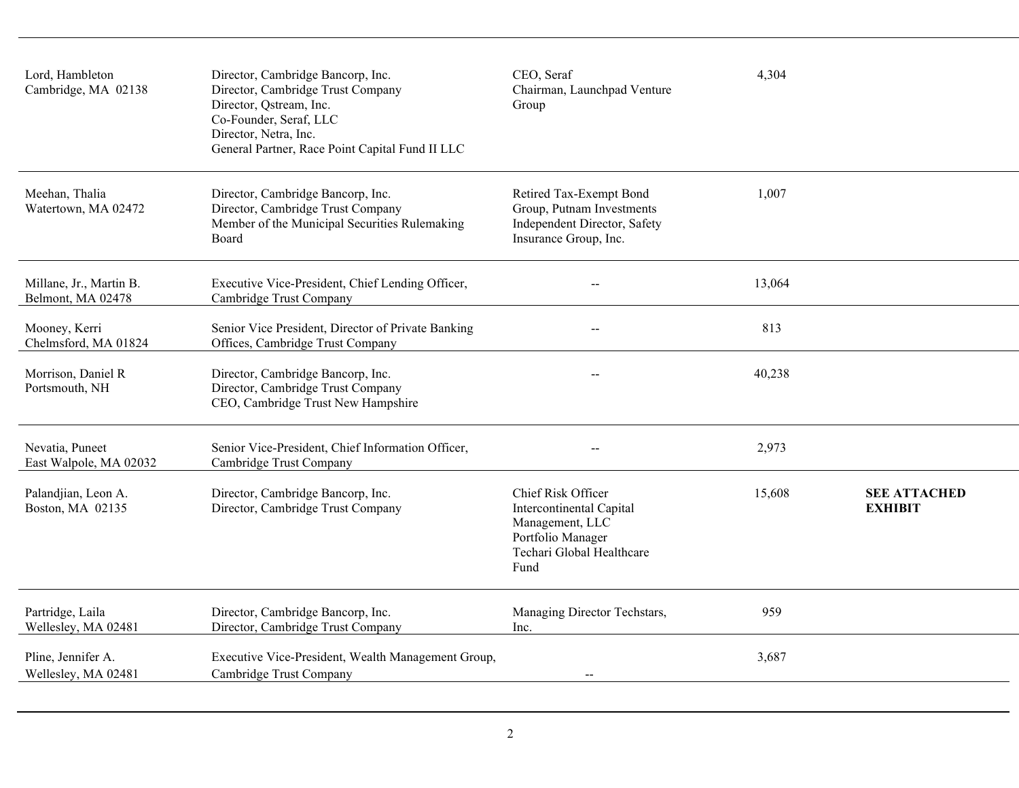| Lord, Hambleton<br>Cambridge, MA 02138       | Director, Cambridge Bancorp, Inc.<br>Director, Cambridge Trust Company<br>Director, Qstream, Inc.<br>Co-Founder, Seraf, LLC<br>Director, Netra, Inc.<br>General Partner, Race Point Capital Fund II LLC | CEO, Seraf<br>Chairman, Launchpad Venture<br>Group                                                                          | 4,304  |                                       |
|----------------------------------------------|---------------------------------------------------------------------------------------------------------------------------------------------------------------------------------------------------------|-----------------------------------------------------------------------------------------------------------------------------|--------|---------------------------------------|
| Meehan, Thalia<br>Watertown, MA 02472        | Director, Cambridge Bancorp, Inc.<br>Director, Cambridge Trust Company<br>Member of the Municipal Securities Rulemaking<br>Board                                                                        | Retired Tax-Exempt Bond<br>Group, Putnam Investments<br>Independent Director, Safety<br>Insurance Group, Inc.               | 1,007  |                                       |
| Millane, Jr., Martin B.<br>Belmont, MA 02478 | Executive Vice-President, Chief Lending Officer,<br>Cambridge Trust Company                                                                                                                             | $-$                                                                                                                         | 13,064 |                                       |
| Mooney, Kerri<br>Chelmsford, MA 01824        | Senior Vice President, Director of Private Banking<br>Offices, Cambridge Trust Company                                                                                                                  | $-$                                                                                                                         | 813    |                                       |
| Morrison, Daniel R<br>Portsmouth, NH         | Director, Cambridge Bancorp, Inc.<br>Director, Cambridge Trust Company<br>CEO, Cambridge Trust New Hampshire                                                                                            |                                                                                                                             | 40,238 |                                       |
| Nevatia, Puneet<br>East Walpole, MA 02032    | Senior Vice-President, Chief Information Officer,<br>Cambridge Trust Company                                                                                                                            | $-$                                                                                                                         | 2,973  |                                       |
| Palandjian, Leon A.<br>Boston, MA 02135      | Director, Cambridge Bancorp, Inc.<br>Director, Cambridge Trust Company                                                                                                                                  | Chief Risk Officer<br>Intercontinental Capital<br>Management, LLC<br>Portfolio Manager<br>Techari Global Healthcare<br>Fund | 15,608 | <b>SEE ATTACHED</b><br><b>EXHIBIT</b> |
| Partridge, Laila<br>Wellesley, MA 02481      | Director, Cambridge Bancorp, Inc.<br>Director, Cambridge Trust Company                                                                                                                                  | Managing Director Techstars,<br>Inc.                                                                                        | 959    |                                       |
| Pline, Jennifer A.<br>Wellesley, MA 02481    | Executive Vice-President, Wealth Management Group,<br>Cambridge Trust Company                                                                                                                           | $-$                                                                                                                         | 3,687  |                                       |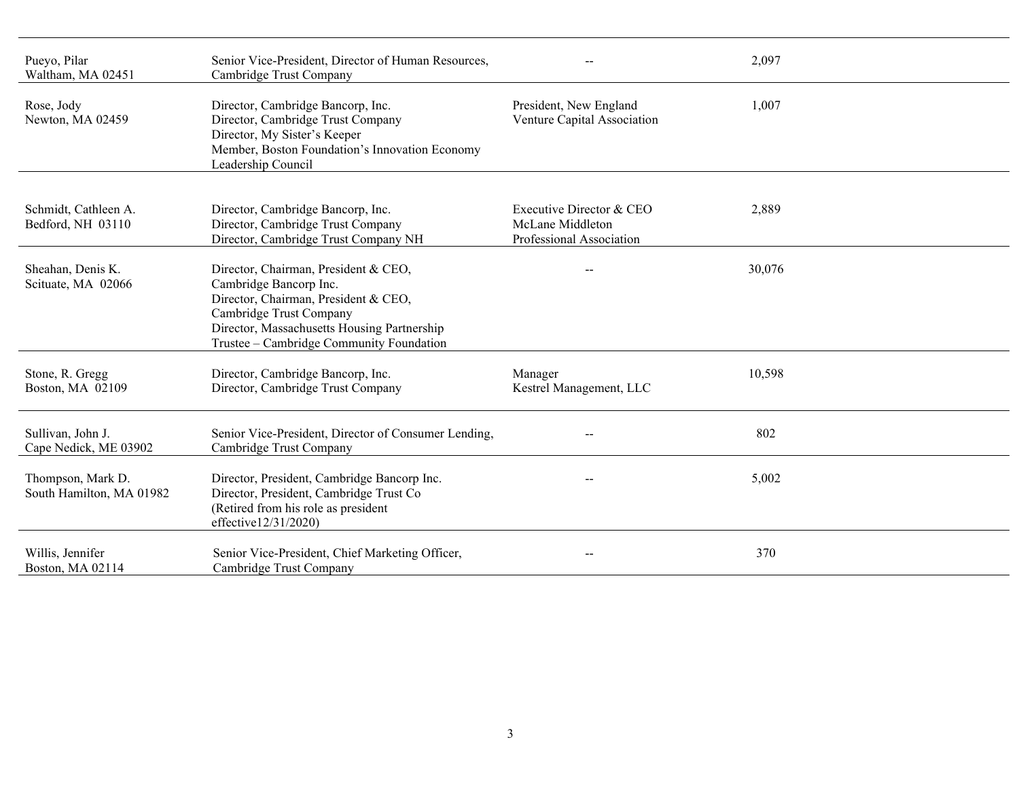| Pueyo, Pilar<br>Waltham, MA 02451             | Senior Vice-President, Director of Human Resources,<br>Cambridge Trust Company                                                                                                                                               |                                                                          | 2,097  |  |
|-----------------------------------------------|------------------------------------------------------------------------------------------------------------------------------------------------------------------------------------------------------------------------------|--------------------------------------------------------------------------|--------|--|
| Rose, Jody<br>Newton, MA 02459                | Director, Cambridge Bancorp, Inc.<br>Director, Cambridge Trust Company<br>Director, My Sister's Keeper<br>Member, Boston Foundation's Innovation Economy<br>Leadership Council                                               | President, New England<br>Venture Capital Association                    | 1,007  |  |
| Schmidt, Cathleen A.<br>Bedford, NH 03110     | Director, Cambridge Bancorp, Inc.<br>Director, Cambridge Trust Company<br>Director, Cambridge Trust Company NH                                                                                                               | Executive Director & CEO<br>McLane Middleton<br>Professional Association | 2,889  |  |
| Sheahan, Denis K.<br>Scituate, MA 02066       | Director, Chairman, President & CEO,<br>Cambridge Bancorp Inc.<br>Director, Chairman, President & CEO,<br>Cambridge Trust Company<br>Director, Massachusetts Housing Partnership<br>Trustee - Cambridge Community Foundation |                                                                          | 30,076 |  |
| Stone, R. Gregg<br>Boston, MA 02109           | Director, Cambridge Bancorp, Inc.<br>Director, Cambridge Trust Company                                                                                                                                                       | Manager<br>Kestrel Management, LLC                                       | 10,598 |  |
| Sullivan, John J.<br>Cape Nedick, ME 03902    | Senior Vice-President, Director of Consumer Lending,<br>Cambridge Trust Company                                                                                                                                              |                                                                          | 802    |  |
| Thompson, Mark D.<br>South Hamilton, MA 01982 | Director, President, Cambridge Bancorp Inc.<br>Director, President, Cambridge Trust Co<br>(Retired from his role as president<br>effective12/31/2020)                                                                        |                                                                          | 5,002  |  |
| Willis, Jennifer<br>Boston, MA 02114          | Senior Vice-President, Chief Marketing Officer,<br>Cambridge Trust Company                                                                                                                                                   |                                                                          | 370    |  |